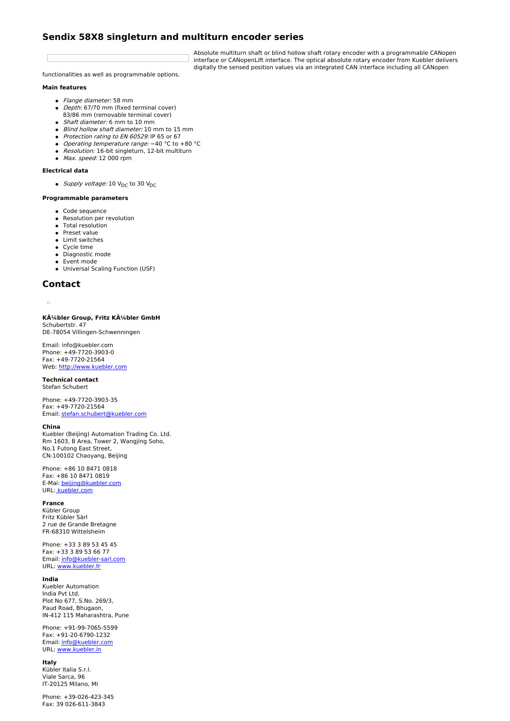# **Sendix 58X8 singleturn and multiturn encoder series**

Absolute multiturn shaft or blind hollow shaft rotary encoder with a programmable CANopen interface or CANopenLift interface. The optical absolute rotary encoder from Kuebler delivers digitally the sensed position values via an integrated CAN interface including all CANopen

functionalities as well as programmable options.

### **Main features**

- Flange diameter: 58 mm
- Depth: 67/70 mm (fixed terminal cover)
- 83/86 mm (removable terminal cover)
- Shaft diameter: 6 mm to 10 mm
- Blind hollow shaft diameter: 10 mm to 15 mm
- Protection rating to EN 60529: IP 65 or 67 Operating temperature range: −40 °C to +80 °C
- Resolution: 16-bit singleturn, 12-bit multiturn
- $Max. speed: 12 000 rpm$

#### **Electrical data**

• Supply voltage: 10  $V_{DC}$  to 30  $V_{DC}$ 

#### **Programmable parameters**

- Code sequence
- Resolution per revolution
- Total resolution
- Preset value
- Limit switches
- Cycle time
- Diagnostic mode
- **Event mode**
- Universal Scaling Function (USF)

# **Contact**

 $\overline{\phantom{a}}$ 

**Kübler Group, Fritz Kübler GmbH** Schubertstr. 47

DE-78054 Villingen-Schwenningen Email: info@kuebler.com

Phone: +49-7720-3903-0 Fax: +49-7720-21564 Web: <http://www.kuebler.com>

### **Technical contact** Stefan Schubert

Phone: +49-7720-3903-35 Fax: +49-7720-21564 Email: [stefan.schubert@kuebler.com](mailto:stefan.schubert@kuebler.com)

### **China**

Kuebler (Beijing) Automation Trading Co. Ltd. Rm 1603, B Area, Tower 2, Wangjing Soho, No.1 Futong East Street, CN-100102 Chaoyang, Beijing

Phone: +86 10 8471 0818 Fax: +86 10 8471 0819 E-Mai: [beijing@kuebler.com](mailto:beijing@kuebler.com) URL: [kuebler.com](http://www.kuebler.com)

### **France**

Kübler Group Fritz Kübler Sàrl 2 rue de Grande Bretagne FR-68310 Wittelsheim

Phone: +33 3 89 53 45 45 Fax: +33 3 89 53 66 77 Email: [info@kuebler-sarl.com](mailto:info@kuebler-sarl.com) URL: [www.kuebler.fr](http://www.kuebler.fr)

### **India**

Kuebler Automation India Pvt Ltd. Plot No 677, S.No. 269/3, Paud Road, Bhugaon, IN-412 115 Maharashtra, Pune

Phone: +91-99-7065-5599 Fax: +91-20-6790-1232 Email: [info@kuebler.com](mailto:info@kuebler.com) URL: [www.kuebler.in](http://www.kuebler.in)

### **Italy**

Kübler Italia S.r.l. Viale Sarca, 96 IT-20125 Milano, MI

Phone: +39-026-423-345 Fax: 39 026-611-3843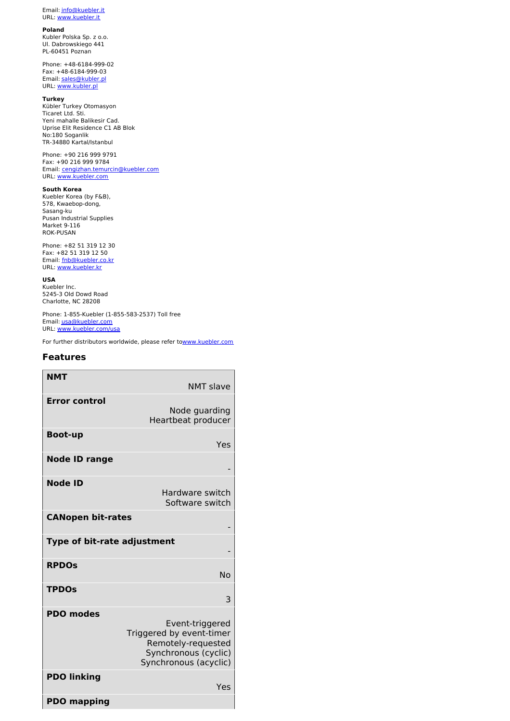Email: [info@kuebler.it](mailto:info@kuebler.it) URL: [www.kuebler.it](http://www.kuebler.it)

### **Poland**

Kubler Polska Sp. z o.o. Ul. Dabrowskiego 441 PL-60451 Poznan

Phone: +48-6184-999-02 Fax: +48-6184-999-03 Email: [sales@kubler.pl](mailto:sales@kubler.pl) URL: [www.kubler.pl](http://www.kubler.pl)

# **Turkey**

Kübler Turkey Otomasyon Ticaret Ltd. Sti. Yeni mahalle Balikesir Cad. Uprise Elit Residence C1 AB Blok No:180 Soganlik TR-34880 Kartal/Istanbul

Phone: +90 216 999 9791 Fax: +90 216 999 9784 Email: [cengizhan.temurcin@kuebler.com](mailto:cengizhan.temurcin@kuebler.com) URL: [www.kuebler.com](http://www.kuebler.com)

### **South Korea**

Kuebler Korea (by F&B), 578, Kwaebop-dong, Sasang-ku Pusan Industrial Supplies Market 9-116 ROK-PUSAN

Phone: +82 51 319 12 30 Fax: +82 51 319 12 50 Email: [fnb@kuebler.co.kr](mailto:fnb@kuebler.co.kr) URL: [www.kuebler.kr](http://www.kuebler.kr)

# **USA**

Kuebler Inc. 5245-3 Old Dowd Road Charlotte, NC 28208

Phone: 1-855-Kuebler (1-855-583-2537) Toll free Email: [usa@kuebler.com](mailto:usa@kuebler.com) URL: [www.kuebler.com/usa](http://www.kuebler.com/usa)

For further distributors worldwide, please refer t[owww.kuebler.com](http://www.kuebler.com)

# **Features**

| <b>NMT</b>                  | <b>NMT slave</b>                                                                                                   |
|-----------------------------|--------------------------------------------------------------------------------------------------------------------|
| <b>Error control</b>        | Node guarding<br>Heartbeat producer                                                                                |
| <b>Boot-up</b>              | Yes                                                                                                                |
| <b>Node ID range</b>        |                                                                                                                    |
| <b>Node ID</b>              | Hardware switch<br>Software switch                                                                                 |
| <b>CANopen bit-rates</b>    |                                                                                                                    |
| Type of bit-rate adjustment |                                                                                                                    |
| <b>RPDOs</b>                | No                                                                                                                 |
| <b>TPDOs</b>                | 3                                                                                                                  |
| <b>PDO</b> modes            | Event-triggered<br>Triggered by event-timer<br>Remotely-requested<br>Synchronous (cyclic)<br>Synchronous (acyclic) |
| <b>PDO linking</b>          | Yes                                                                                                                |
| <b>PDO</b> mapping          |                                                                                                                    |